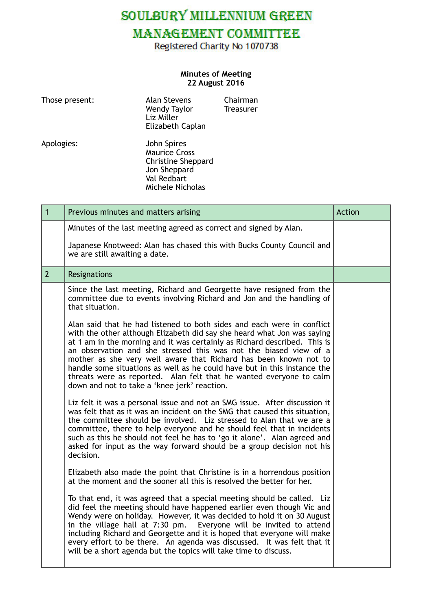SOULBURY MILLENNIUM GREEN

## MANAGEMENT COMMITTEE

Registered Charity No 1070738

## **Minutes of Meeting 22 August 2016**

| Those present: | <b>Alan Stevens</b><br>Wendy Taylor<br>Liz Miller<br>Elizabeth Caplan                                               | Chairman<br>Treasurer |
|----------------|---------------------------------------------------------------------------------------------------------------------|-----------------------|
| Apologies:     | John Spires<br><b>Maurice Cross</b><br><b>Christine Sheppard</b><br>Jon Sheppard<br>Val Redbart<br>Michele Nicholas |                       |

| $\overline{1}$ | Previous minutes and matters arising                                                                                                                                                                                                                                                                                                                                                                                                                                                                                                                                       | Action |
|----------------|----------------------------------------------------------------------------------------------------------------------------------------------------------------------------------------------------------------------------------------------------------------------------------------------------------------------------------------------------------------------------------------------------------------------------------------------------------------------------------------------------------------------------------------------------------------------------|--------|
|                | Minutes of the last meeting agreed as correct and signed by Alan.                                                                                                                                                                                                                                                                                                                                                                                                                                                                                                          |        |
|                | Japanese Knotweed: Alan has chased this with Bucks County Council and<br>we are still awaiting a date.                                                                                                                                                                                                                                                                                                                                                                                                                                                                     |        |
| $\overline{2}$ | Resignations                                                                                                                                                                                                                                                                                                                                                                                                                                                                                                                                                               |        |
|                | Since the last meeting, Richard and Georgette have resigned from the<br>committee due to events involving Richard and Jon and the handling of<br>that situation.                                                                                                                                                                                                                                                                                                                                                                                                           |        |
|                | Alan said that he had listened to both sides and each were in conflict<br>with the other although Elizabeth did say she heard what Jon was saying<br>at 1 am in the morning and it was certainly as Richard described. This is<br>an observation and she stressed this was not the biased view of a<br>mother as she very well aware that Richard has been known not to<br>handle some situations as well as he could have but in this instance the<br>threats were as reported. Alan felt that he wanted everyone to calm<br>down and not to take a 'knee jerk' reaction. |        |
|                | Liz felt it was a personal issue and not an SMG issue. After discussion it<br>was felt that as it was an incident on the SMG that caused this situation,<br>the committee should be involved. Liz stressed to Alan that we are a<br>committee, there to help everyone and he should feel that in incidents<br>such as this he should not feel he has to 'go it alone'. Alan agreed and<br>asked for input as the way forward should be a group decision not his<br>decision.                                                                                               |        |
|                | Elizabeth also made the point that Christine is in a horrendous position<br>at the moment and the sooner all this is resolved the better for her.                                                                                                                                                                                                                                                                                                                                                                                                                          |        |
|                | To that end, it was agreed that a special meeting should be called. Liz<br>did feel the meeting should have happened earlier even though Vic and<br>Wendy were on holiday. However, it was decided to hold it on 30 August<br>in the village hall at 7:30 pm. Everyone will be invited to attend<br>including Richard and Georgette and it is hoped that everyone will make<br>every effort to be there. An agenda was discussed. It was felt that it<br>will be a short agenda but the topics will take time to discuss.                                                  |        |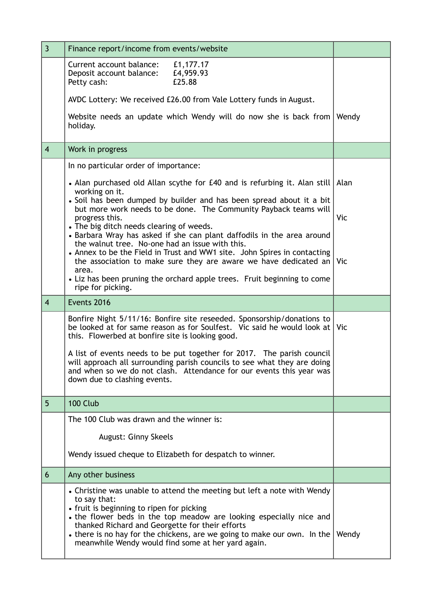| $\overline{3}$ | Finance report/income from events/website                                                                                                                                                                                                                                                                                                                                                                                         |       |
|----------------|-----------------------------------------------------------------------------------------------------------------------------------------------------------------------------------------------------------------------------------------------------------------------------------------------------------------------------------------------------------------------------------------------------------------------------------|-------|
|                | Current account balance:<br>£1,177.17<br>£4,959.93<br>Deposit account balance:<br>£25.88<br>Petty cash:                                                                                                                                                                                                                                                                                                                           |       |
|                | AVDC Lottery: We received £26.00 from Vale Lottery funds in August.                                                                                                                                                                                                                                                                                                                                                               |       |
|                | Website needs an update which Wendy will do now she is back from<br>holiday.                                                                                                                                                                                                                                                                                                                                                      | Wendy |
| $\overline{4}$ | Work in progress                                                                                                                                                                                                                                                                                                                                                                                                                  |       |
|                | In no particular order of importance:                                                                                                                                                                                                                                                                                                                                                                                             |       |
|                | • Alan purchased old Allan scythe for £40 and is refurbing it. Alan still Alan                                                                                                                                                                                                                                                                                                                                                    |       |
|                | working on it.<br>· Soil has been dumped by builder and has been spread about it a bit<br>but more work needs to be done. The Community Payback teams will<br>progress this.<br>• The big ditch needs clearing of weeds.<br>• Barbara Wray has asked if she can plant daffodils in the area around<br>the walnut tree. No-one had an issue with this.<br>• Annex to be the Field in Trust and WW1 site. John Spires in contacting | Vic   |
|                | the association to make sure they are aware we have dedicated an $ $ Vic<br>area.<br>• Liz has been pruning the orchard apple trees. Fruit beginning to come<br>ripe for picking.                                                                                                                                                                                                                                                 |       |
| $\overline{4}$ | Events 2016                                                                                                                                                                                                                                                                                                                                                                                                                       |       |
|                | Bonfire Night 5/11/16: Bonfire site reseeded. Sponsorship/donations to<br>be looked at for same reason as for Soulfest. Vic said he would look at Vic<br>this. Flowerbed at bonfire site is looking good.                                                                                                                                                                                                                         |       |
|                | A list of events needs to be put together for 2017. The parish council<br>will approach all surrounding parish councils to see what they are doing<br>and when so we do not clash. Attendance for our events this year was<br>down due to clashing events.                                                                                                                                                                        |       |
| 5              | 100 Club                                                                                                                                                                                                                                                                                                                                                                                                                          |       |
|                | The 100 Club was drawn and the winner is:                                                                                                                                                                                                                                                                                                                                                                                         |       |
|                | August: Ginny Skeels                                                                                                                                                                                                                                                                                                                                                                                                              |       |
|                | Wendy issued cheque to Elizabeth for despatch to winner.                                                                                                                                                                                                                                                                                                                                                                          |       |
| 6              | Any other business                                                                                                                                                                                                                                                                                                                                                                                                                |       |
|                | • Christine was unable to attend the meeting but left a note with Wendy<br>to say that:<br>• fruit is beginning to ripen for picking<br>• the flower beds in the top meadow are looking especially nice and<br>thanked Richard and Georgette for their efforts<br>• there is no hay for the chickens, are we going to make our own. In the<br>meanwhile Wendy would find some at her yard again.                                  | Wendy |